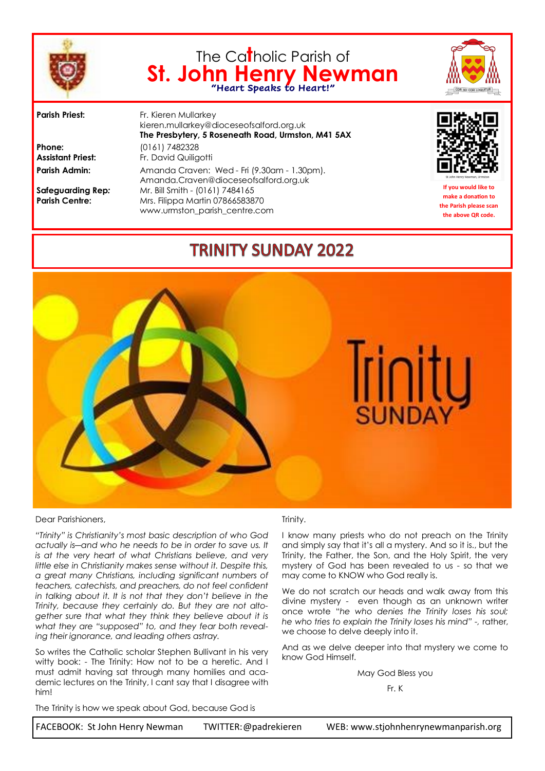

# The Ca**t**holic Parish of **St. John Henry Newman "Heart Speaks to Heart!"**



**Phone:** (0161) 7482328

**Parish Priest:** Fr. Kieren Mullarkey kieren.mullarkey@dioceseofsalford.org.uk **The Presbytery, 5 Roseneath Road, Urmston, M41 5AX Assistant Priest:** Fr. David Quiligotti Parish Admin: Amanda Craven: Wed - Fri (9.30am - 1.30pm). Amanda.Craven@dioceseofsalford.org.uk **Safeguarding Rep***:* Mr. Bill Smith - (0161) 7484165 **Parish Centre:** Mrs. Filippa Martin 07866583870 www.urmston\_parish\_centre.com



**If you would like to make a donation to the Parish please scan the above QR code.**

# **TRINITY SUNDAY 2022**



#### Dear Parishioners,

*"Trinity" is Christianity's most basic description of who God actually is―and who he needs to be in order to save us. It is at the very heart of what Christians believe, and very little else in Christianity makes sense without it. Despite this, a great many Christians, including significant numbers of teachers, catechists, and preachers, do not feel confident in talking about it. It is not that they don't believe in the Trinity, because they certainly do. But they are not altogether sure that what they think they believe about it is what they are "supposed" to, and they fear both revealing their ignorance, and leading others astray.* 

So writes the Catholic scholar Stephen Bullivant in his very witty book: - The Trinity: How not to be a heretic. And I must admit having sat through many homilies and academic lectures on the Trinity, I cant say that I disagree with him!

#### Trinity.

I know many priests who do not preach on the Trinity and simply say that it's all a mystery. And so it is., but the Trinity, the Father, the Son, and the Holy Spirit, the very mystery of God has been revealed to us - so that we may come to KNOW who God really is.

We do not scratch our heads and walk away from this divine mystery - even though as an unknown writer once wrote "*he who denies the Trinity loses his soul; he who tries to explain the Trinity loses his mind" -,* rather, we choose to delve deeply into it.

And as we delve deeper into that mystery we come to know God Himself.

May God Bless you

#### Fr. K

The Trinity is how we speak about God, because God is

FACEBOOK: St John Henry Newman TWITTER:@padrekieren WEB: www.stjohnhenrynewmanparish.org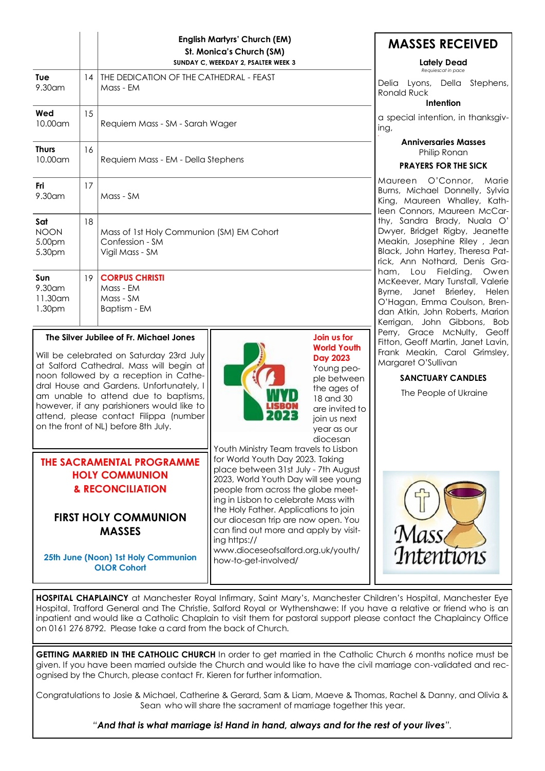|                                                                                                                                                                                                                                                                                                                                                                                               |                                                                                       | <b>English Martyrs' Church (EM)</b><br>St. Monica's Church (SM)<br>SUNDAY C, WEEKDAY 2, PSALTER WEEK 3 |                                                                                                                                                                                                                                                                                                                                                                                                                                                | <b>MASSES RECEIVED</b><br><b>Lately Dead</b><br>Requiescat in pace                                                                                                                                           |  |
|-----------------------------------------------------------------------------------------------------------------------------------------------------------------------------------------------------------------------------------------------------------------------------------------------------------------------------------------------------------------------------------------------|---------------------------------------------------------------------------------------|--------------------------------------------------------------------------------------------------------|------------------------------------------------------------------------------------------------------------------------------------------------------------------------------------------------------------------------------------------------------------------------------------------------------------------------------------------------------------------------------------------------------------------------------------------------|--------------------------------------------------------------------------------------------------------------------------------------------------------------------------------------------------------------|--|
| Tue<br>9.30am                                                                                                                                                                                                                                                                                                                                                                                 | 14                                                                                    | THE DEDICATION OF THE CATHEDRAL - FEAST<br>Mass - EM                                                   |                                                                                                                                                                                                                                                                                                                                                                                                                                                | Delia Lyons, Della Stephens,<br><b>Ronald Ruck</b><br>Intention                                                                                                                                              |  |
| Wed<br>$10.00$ am                                                                                                                                                                                                                                                                                                                                                                             | 15                                                                                    | Requiem Mass - SM - Sarah Wager                                                                        |                                                                                                                                                                                                                                                                                                                                                                                                                                                | a special intention, in thanksgiv-<br>ing,                                                                                                                                                                   |  |
| <b>Thurs</b><br>10.00am                                                                                                                                                                                                                                                                                                                                                                       | 16                                                                                    | Requiem Mass - EM - Della Stephens                                                                     |                                                                                                                                                                                                                                                                                                                                                                                                                                                | <b>Anniversaries Masses</b><br>Philip Ronan<br><b>PRAYERS FOR THE SICK</b>                                                                                                                                   |  |
| Fri<br>9.30am                                                                                                                                                                                                                                                                                                                                                                                 | 17                                                                                    | Mass - SM                                                                                              |                                                                                                                                                                                                                                                                                                                                                                                                                                                | Maureen O'Connor,<br>Marie<br>Burns, Michael Donnelly, Sylvia<br>King, Maureen Whalley, Kath-<br>leen Connors, Maureen McCar-                                                                                |  |
| Sat<br><b>NOON</b><br>5.00pm<br>5.30pm                                                                                                                                                                                                                                                                                                                                                        | 18<br>Mass of 1st Holy Communion (SM) EM Cohort<br>Confession - SM<br>Vigil Mass - SM |                                                                                                        | thy, Sandra Brady, Nuala O'<br>Dwyer, Bridget Rigby, Jeanette<br>Meakin, Josephine Riley, Jean<br>Black, John Hartey, Theresa Pat-<br>rick, Ann Nothard, Denis Gra-                                                                                                                                                                                                                                                                            |                                                                                                                                                                                                              |  |
| Sun<br>9.30am<br>11.30 am<br>1.30pm                                                                                                                                                                                                                                                                                                                                                           | 19 <sup>1</sup>                                                                       | <b>CORPUS CHRISTI</b><br>Mass - EM<br>Mass - SM<br>Baptism - EM                                        |                                                                                                                                                                                                                                                                                                                                                                                                                                                | ham, Lou Fielding,<br>Owen<br>McKeever, Mary Tunstall, Valerie<br>Janet Brierley, Helen<br>Byrne,<br>O'Hagan, Emma Coulson, Bren-<br>dan Atkin, John Roberts, Marion<br>Kerrigan, John Gibbons, Bob          |  |
| The Silver Jubilee of Fr. Michael Jones<br>Will be celebrated on Saturday 23rd July<br>at Salford Cathedral. Mass will begin at<br>noon followed by a reception in Cathe-<br>dral House and Gardens. Unfortunately, I<br>am unable to attend due to baptisms,<br>however, if any parishioners would like to<br>attend, please contact Filippa (number<br>on the front of NL) before 8th July. |                                                                                       |                                                                                                        | Join us for<br><b>World Youth</b><br><b>Day 2023</b><br>Young peo-<br>ple between<br>the ages of<br>18 and 30<br>are invited to<br>join us next<br>year as our<br>diocesan                                                                                                                                                                                                                                                                     | Perry, Grace McNulty, Geoff<br>Fitton, Geoff Martin, Janet Lavin,<br>Frank Meakin, Carol Grimsley,<br>Margaret O'Sullivan<br><b>SANCTUARY CANDLES</b><br>The People of Ukraine<br>Mass.<br><i>Intentions</i> |  |
| THE SACRAMENTAL PROGRAMME<br><b>HOLY COMMUNION</b><br><b>&amp; RECONCILIATION</b><br><b>FIRST HOLY COMMUNION</b><br><b>MASSES</b><br>25th June (Noon) 1st Holy Communion<br><b>OLOR Cohort</b>                                                                                                                                                                                                |                                                                                       |                                                                                                        | Youth Ministry Team travels to Lisbon<br>for World Youth Day 2023. Taking<br>place between 31st July - 7th August<br>2023, World Youth Day will see young<br>people from across the globe meet-<br>ing in Lisbon to celebrate Mass with<br>the Holy Father. Applications to join<br>our diocesan trip are now open. You<br>can find out more and apply by visit-<br>ing https://<br>www.dioceseofsalford.org.uk/youth/<br>how-to-get-involved/ |                                                                                                                                                                                                              |  |

**H** at Manchester Royal Infirmary, Saint Mary's, Manchester Children's Hospital, Manch Hospital, Trafford General and The Christie, Salford Royal or Wythenshawe: If you have a relative or friend who is an inpatient and would like a Catholic Chaplain to visit them for pastoral support please contact the Chaplaincy Office on 0161 276 8792. Please take a card from the back of Church.

**GETTING MARRIED IN THE CATHOLIC CHURCH** In order to get married in the Catholic Church 6 months notice must be given. If you have been married outside the Church and would like to have the civil marriage con-validated and recognised by the Church, please contact Fr. Kieren for further information.

Congratulations to Josie & Michael, Catherine & Gerard, Sam & Liam, Maeve & Thomas, Rachel & Danny, and Olivia & Sean who will share the sacrament of marriage together this year.

*"And that is what marriage is! Hand in hand, always and for the rest of your lives".*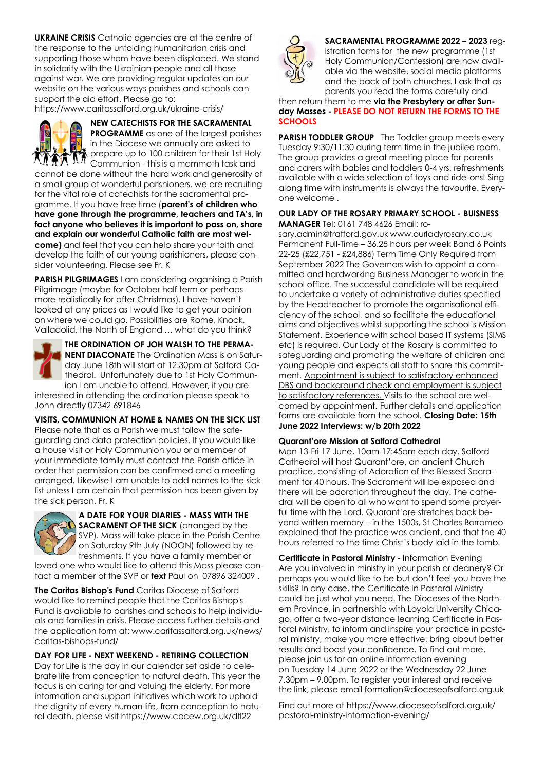**UKRAINE CRISIS** Catholic agencies are at the centre of the response to the unfolding humanitarian crisis and supporting those whom have been displaced. We stand in solidarity with the Ukrainian people and all those against war. We are providing regular updates on our website on the various ways parishes and schools can support the aid effort. Please go to:

https://www.caritassalford.org.uk/ukraine-crisis/



**NEW CATECHISTS FOR THE SACRAMENTAL PROGRAMME** as one of the largest parishes in the Diocese we annually are asked to prepare up to 100 children for their 1st Holy

 $\boldsymbol{K}\boldsymbol{\Lambda}$  prepare up to the dimensional manifold task and cannot be done without the hard work and generosity of a small group of wonderful parishioners. we are recruiting for the vital role of catechists for the sacramental programme. If you have free time (**parent's of children who have gone through the programme, teachers and TA's, in fact anyone who believes it is important to pass on, share and explain our wonderful Catholic faith are most welcome)** and feel that you can help share your faith and develop the faith of our young parishioners, please consider volunteering. Please see Fr. K

**PARISH PILGRIMAGES** I am considering organising a Parish Pilgrimage (maybe for October half term or perhaps more realistically for after Christmas). I have haven't looked at any prices as I would like to get your opinion on where we could go. Possibilities are Rome, Knock, Valladolid, the North of England … what do you think?



**THE ORDINATION OF JOH WALSH TO THE PERMA-NENT DIACONATE** The Ordination Mass is on Saturday June 18th will start at 12.30pm at Salford Cathedral. Unfortunately due to 1st Holy Communion I am unable to attend. However, if you are

interested in attending the ordination please speak to John directly 07342 691846

**VISITS, COMMUNION AT HOME & NAMES ON THE SICK LIST** Please note that as a Parish we must follow the safeguarding and data protection policies. If you would like a house visit or Holy Communion you or a member of your immediate family must contact the Parish office in order that permission can be confirmed and a meeting arranged. Likewise I am unable to add names to the sick list unless I am certain that permission has been given by the sick person. Fr. K



**A DATE FOR YOUR DIARIES - MASS WITH THE SACRAMENT OF THE SICK** (arranged by the SVP). Mass will take place in the Parish Centre on Saturday 9th July (NOON) followed by refreshments. If you have a family member or

loved one who would like to attend this Mass please contact a member of the SVP or **text** Paul on 07896 324009 .

**The Caritas Bishop's Fund** Caritas Diocese of Salford would like to remind people that the Caritas Bishop's Fund is available to parishes and schools to help individuals and families in crisis. Please access further details and the application form at: www.caritassalford.org.uk/news/ caritas-bishops-fund/

# **DAY FOR LIFE - NEXT WEEKEND - RETIRING COLLECTION**

Day for Life is the day in our calendar set aside to celebrate life from conception to natural death. This year the focus is on caring for and valuing the elderly. For more information and support initiatives which work to uphold the dignity of every human life, from conception to natural death, please visit https://www.cbcew.org.uk/dfl22



**SACRAMENTAL PROGRAMME 2022 – 2023** registration forms for the new programme (1st Holy Communion/Confession) are now available via the website, social media platforms and the back of both churches. I ask that as parents you read the forms carefully and

then return them to me **via the Presbytery or after Sunday Masses - PLEASE DO NOT RETURN THE FORMS TO THE SCHOOLS**

**PARISH TODDLER GROUP** The Toddler group meets every Tuesday 9:30/11:30 during term time in the jubilee room. The group provides a great meeting place for parents and carers with babies and toddlers 0-4 yrs. refreshments available with a wide selection of toys and ride-ons! Sing along time with instruments is always the favourite. Everyone welcome .

#### **OUR LADY OF THE ROSARY PRIMARY SCHOOL - BUISNESS MANAGER** Tel: 0161 748 4626 Email: ro-

sary.admin@trafford.gov.uk www.ourladyrosary.co.uk Permanent Full-Time – 36.25 hours per week Band 6 Points 22-25 (£22,751 - £24,886) Term Time Only Required from September 2022 The Governors wish to appoint a committed and hardworking Business Manager to work in the school office. The successful candidate will be required to undertake a variety of administrative duties specified by the Headteacher to promote the organisational efficiency of the school, and so facilitate the educational aims and objectives whilst supporting the school's Mission Statement. Experience with school based IT systems (SIMS etc) is required. Our Lady of the Rosary is committed to safeguarding and promoting the welfare of children and young people and expects all staff to share this commitment. Appointment is subject to satisfactory enhanced DBS and background check and employment is subject to satisfactory references. Visits to the school are welcomed by appointment. Further details and application forms are available from the school. **Closing Date: 15th June 2022 Interviews: w/b 20th 2022** 

#### **Quarant'ore Mission at Salford Cathedral**

Mon 13-Fri 17 June, 10am-17:45am each day. Salford Cathedral will host Quarant'ore, an ancient Church practice, consisting of Adoration of the Blessed Sacrament for 40 hours. The Sacrament will be exposed and there will be adoration throughout the day. The cathedral will be open to all who want to spend some prayerful time with the Lord. Quarant'ore stretches back beyond written memory – in the 1500s, St Charles Borromeo explained that the practice was ancient, and that the 40 hours referred to the time Christ's body laid in the tomb.

**Certificate in Pastoral Ministry** - Information Evening Are you involved in ministry in your parish or deanery? Or perhaps you would like to be but don't feel you have the skills? In any case, the Certificate in Pastoral Ministry could be just what you need. The Dioceses of the Northern Province, in partnership with Loyola University Chicago, offer a two-year distance learning Certificate in Pastoral Ministry, to inform and inspire your practice in pastoral ministry, make you more effective, bring about better results and boost your confidence. To find out more, please join us for an online information evening on Tuesday 14 June 2022 or the Wednesday 22 June 7.30pm – 9.00pm. To register your interest and receive the link, please email formation@dioceseofsalford.org.uk

Find out more at https://www.dioceseofsalford.org.uk/ pastoral-ministry-information-evening/